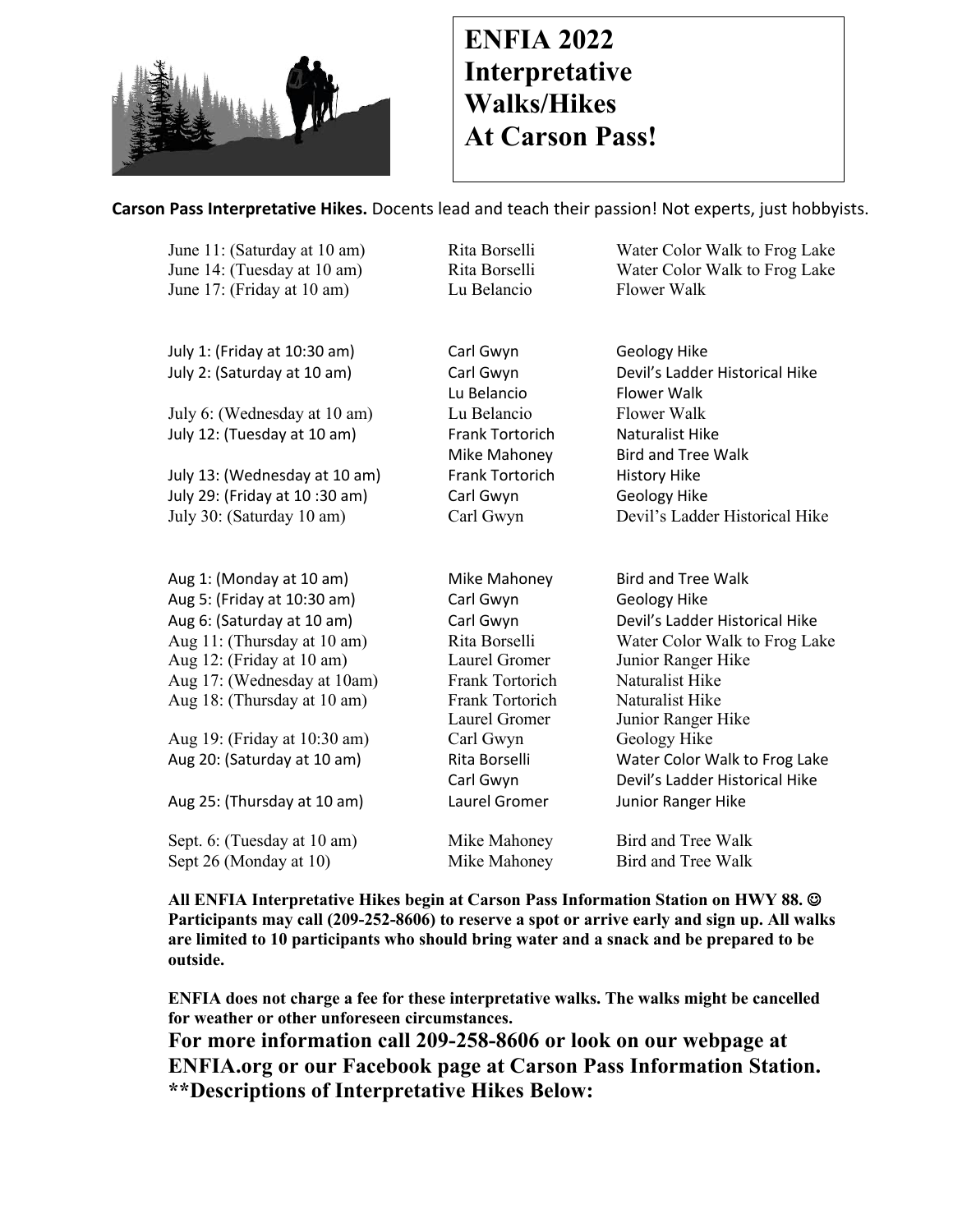

## **ENFIA 2022 Interpretative Walks/Hikes At Carson Pass!**

## **Carson Pass Interpretative Hikes.** Docents lead and teach their passion! Not experts, just hobbyists.

| June 11: (Saturday at 10 am)  | Rita Borselli          | Water Color Walk to Frog Lake  |
|-------------------------------|------------------------|--------------------------------|
| June 14: (Tuesday at 10 am)   | Rita Borselli          | Water Color Walk to Frog Lake  |
| June 17: (Friday at 10 am)    | Lu Belancio            | <b>Flower Walk</b>             |
|                               |                        |                                |
| July 1: (Friday at 10:30 am)  | Carl Gwyn              | Geology Hike                   |
| July 2: (Saturday at 10 am)   | Carl Gwyn              | Devil's Ladder Historical Hike |
|                               | Lu Belancio            | <b>Flower Walk</b>             |
| July 6: (Wednesday at 10 am)  | Lu Belancio            | <b>Flower Walk</b>             |
| July 12: (Tuesday at 10 am)   | Frank Tortorich        | Naturalist Hike                |
|                               | Mike Mahoney           | <b>Bird and Tree Walk</b>      |
| July 13: (Wednesday at 10 am) | <b>Frank Tortorich</b> | <b>History Hike</b>            |
| July 29: (Friday at 10:30 am) | Carl Gwyn              | <b>Geology Hike</b>            |
| July 30: (Saturday 10 am)     | Carl Gwyn              | Devil's Ladder Historical Hike |
|                               |                        |                                |
| Aug 1: (Monday at 10 am)      | Mike Mahoney           | <b>Bird and Tree Walk</b>      |
| Aug 5: (Friday at 10:30 am)   | Carl Gwyn              | <b>Geology Hike</b>            |
| Aug 6: (Saturday at 10 am)    | Carl Gwyn              | Devil's Ladder Historical Hike |
| Aug 11: (Thursday at 10 am)   | Rita Borselli          | Water Color Walk to Frog Lake  |
| Aug 12: (Friday at 10 am)     | Laurel Gromer          | Junior Ranger Hike             |
| Aug 17: (Wednesday at 10am)   | Frank Tortorich        | Naturalist Hike                |
| Aug 18: (Thursday at 10 am)   | Frank Tortorich        | Naturalist Hike                |
|                               | Laurel Gromer          | Junior Ranger Hike             |
| Aug 19: (Friday at 10:30 am)  | Carl Gwyn              | Geology Hike                   |
| Aug 20: (Saturday at 10 am)   | Rita Borselli          | Water Color Walk to Frog Lake  |
|                               | Carl Gwyn              | Devil's Ladder Historical Hike |
| Aug 25: (Thursday at 10 am)   | Laurel Gromer          | Junior Ranger Hike             |
| Sept. 6: (Tuesday at 10 am)   | Mike Mahoney           | <b>Bird and Tree Walk</b>      |
| Sept 26 (Monday at 10)        | Mike Mahoney           | Bird and Tree Walk             |

**All ENFIA Interpretative Hikes begin at Carson Pass Information Station on HWY 88.** J **Participants may call (209-252-8606) to reserve a spot or arrive early and sign up. All walks are limited to 10 participants who should bring water and a snack and be prepared to be outside.**

**ENFIA does not charge a fee for these interpretative walks. The walks might be cancelled for weather or other unforeseen circumstances.** 

**For more information call 209-258-8606 or look on our webpage at ENFIA.org or our Facebook page at Carson Pass Information Station. \*\*Descriptions of Interpretative Hikes Below:**